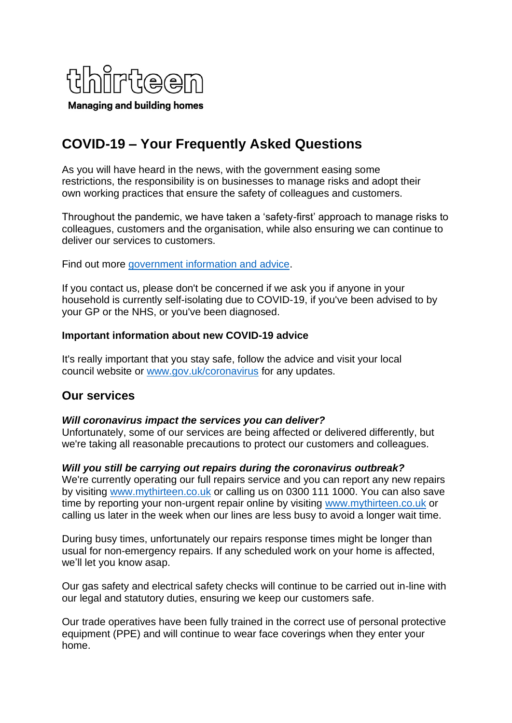

# **COVID-19 – Your Frequently Asked Questions**

As you will have heard in the news, with the government easing some restrictions, the responsibility is on businesses to manage risks and adopt their own working practices that ensure the safety of colleagues and customers.

Throughout the pandemic, we have taken a 'safety-first' approach to manage risks to colleagues, customers and the organisation, while also ensuring we can continue to deliver our services to customers.

Find out more [government information and advice.](https://www.gov.uk/coronavirus)

If you contact us, please don't be concerned if we ask you if anyone in your household is currently self-isolating due to COVID-19, if you've been advised to by your GP or the NHS, or you've been diagnosed.

#### **Important information about new COVID-19 advice**

It's really important that you stay safe, follow the advice and visit your local council website or [www.gov.uk/coronavirus](http://www.gov.uk/coronavirus) for any updates.

# **Our services**

#### *Will coronavirus impact the services you can deliver?*

Unfortunately, some of our services are being affected or delivered differently, but we're taking all reasonable precautions to protect our customers and colleagues.

#### *Will you still be carrying out repairs during the coronavirus outbreak?*

We're currently operating our full repairs service and you can report any new repairs by visiting [www.mythirteen.co.uk](http://www.mythirteen.co.uk/) or calling us on 0300 111 1000. You can also save time by reporting your non-urgent repair online by visiting [www.mythirteen.co.uk](http://www.mythirteen.co.uk/) or calling us later in the week when our lines are less busy to avoid a longer wait time.

During busy times, unfortunately our repairs response times might be longer than usual for non-emergency repairs. If any scheduled work on your home is affected, we'll let you know asap.

Our gas safety and electrical safety checks will continue to be carried out in-line with our legal and statutory duties, ensuring we keep our customers safe.

Our trade operatives have been fully trained in the correct use of personal protective equipment (PPE) and will continue to wear face coverings when they enter your home.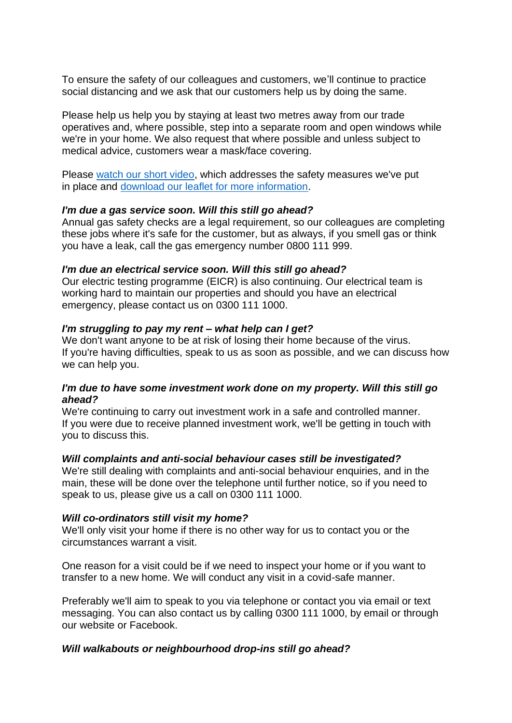To ensure the safety of our colleagues and customers, we'll continue to practice social distancing and we ask that our customers help us by doing the same.

Please help us help you by staying at least two metres away from our trade operatives and, where possible, step into a separate room and open windows while we're in your home. We also request that where possible and unless subject to medical advice, customers wear a mask/face covering.

Please [watch our short video,](https://eur01.safelinks.protection.outlook.com/?url=https%3A%2F%2Fyoutu.be%2FcRKw1GD3Ws4&data=04%7C01%7Cvicki.mussett%40thirteengroup.co.uk%7Cb22fb659ad7f4431056808d87f2bc2f7%7Cdc058fd0b64441418f85ba6e1f2087e7%7C1%7C0%7C637399173224520125%7CUnknown%7CTWFpbGZsb3d8eyJWIjoiMC4wLjAwMDAiLCJQIjoiV2luMzIiLCJBTiI6Ik1haWwiLCJXVCI6Mn0%3D%7C1000&sdata=1z%2F6Y8sDzeLsVr584n3gJ6dN22rRWrjUN6oNoI3JiHA%3D&reserved=0) which addresses the safety measures we've put in place and [download our leaflet for more information.](https://www.thirteengroup.co.uk/uploaded/thirteen/files/Keeping%20customers%20and%20colleagues%20safe%20leaflet.pdf)

#### *I'm due a gas service soon. Will this still go ahead?*

Annual gas safety checks are a legal requirement, so our colleagues are completing these jobs where it's safe for the customer, but as always, if you smell gas or think you have a leak, call the gas emergency number 0800 111 999.

#### *I'm due an electrical service soon. Will this still go ahead?*

Our electric testing programme (EICR) is also continuing. Our electrical team is working hard to maintain our properties and should you have an electrical emergency, please contact us on 0300 111 1000.

#### *I'm struggling to pay my rent – what help can I get?*

We don't want anyone to be at risk of losing their home because of the virus. If you're having difficulties, speak to us as soon as possible, and we can discuss how we can help you.

### *I'm due to have some investment work done on my property. Will this still go ahead?*

We're continuing to carry out investment work in a safe and controlled manner. If you were due to receive planned investment work, we'll be getting in touch with you to discuss this.

#### *Will complaints and anti-social behaviour cases still be investigated?*

We're still dealing with complaints and anti-social behaviour enquiries, and in the main, these will be done over the telephone until further notice, so if you need to speak to us, please give us a call on 0300 111 1000.

#### *Will co-ordinators still visit my home?*

We'll only visit your home if there is no other way for us to contact you or the circumstances warrant a visit.

One reason for a visit could be if we need to inspect your home or if you want to transfer to a new home. We will conduct any visit in a covid-safe manner.

Preferably we'll aim to speak to you via telephone or contact you via email or text messaging. You can also contact us by calling 0300 111 1000, by email or through our website or Facebook.

#### *Will walkabouts or neighbourhood drop-ins still go ahead?*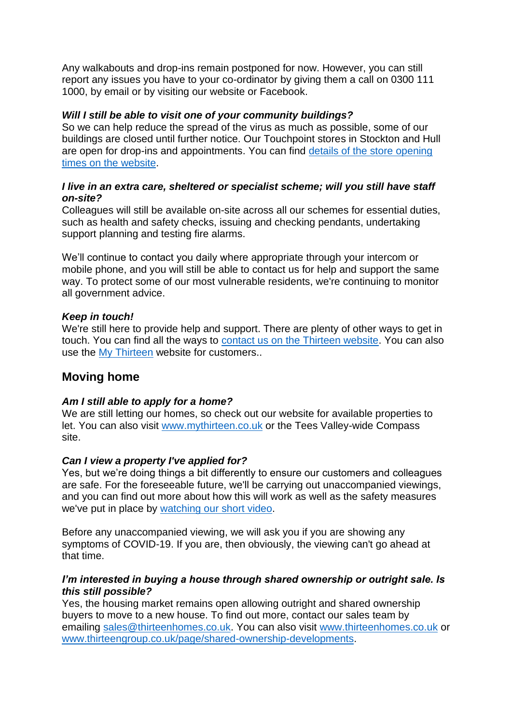Any walkabouts and drop-ins remain postponed for now. However, you can still report any issues you have to your co-ordinator by giving them a call on 0300 111 1000, by email or by visiting our website or Facebook.

## *Will I still be able to visit one of your community buildings?*

So we can help reduce the spread of the virus as much as possible, some of our buildings are closed until further notice. Our Touchpoint stores in Stockton and Hull are open for drop-ins and appointments. You can find [details of the store opening](https://www.thirteengroup.co.uk/page/neighbourhood-offices)  [times on the website.](https://www.thirteengroup.co.uk/page/neighbourhood-offices)

## *I live in an extra care, sheltered or specialist scheme; will you still have staff on-site?*

Colleagues will still be available on-site across all our schemes for essential duties, such as health and safety checks, issuing and checking pendants, undertaking support planning and testing fire alarms.

We'll continue to contact you daily where appropriate through your intercom or mobile phone, and you will still be able to contact us for help and support the same way. To protect some of our most vulnerable residents, we're continuing to monitor all government advice.

### *Keep in touch!*

We're still here to provide help and support. There are plenty of other ways to get in touch. You can find all the ways to [contact us on the Thirteen website.](https://www.thirteengroup.co.uk/page/contact-us) You can also use the [My Thirteen](https://mythirteen.co.uk/start/) website for customers..

# **Moving home**

### *Am I still able to apply for a home?*

We are still letting our homes, so check out our website for available properties to let. You can also visit [www.mythirteen.co.uk](http://www.mythirteen.co.uk/) or the Tees Valley-wide Compass site.

### *Can I view a property I've applied for?*

Yes, but we're doing things a bit differently to ensure our customers and colleagues are safe. For the foreseeable future, we'll be carrying out unaccompanied viewings, and you can find out more about how this will work as well as the safety measures we've put in place by [watching our short video.](https://eur01.safelinks.protection.outlook.com/?url=https%3A%2F%2Fyoutu.be%2Fn3jmOiOhsnc&data=04%7C01%7Cvicki.mussett%40thirteengroup.co.uk%7Cb22fb659ad7f4431056808d87f2bc2f7%7Cdc058fd0b64441418f85ba6e1f2087e7%7C1%7C0%7C637399173224530082%7CUnknown%7CTWFpbGZsb3d8eyJWIjoiMC4wLjAwMDAiLCJQIjoiV2luMzIiLCJBTiI6Ik1haWwiLCJXVCI6Mn0%3D%7C1000&sdata=ej86naSV%2B%2BmUlt0CKrdbNOTLW8PJ8n9QLpKxmB%2BoHOU%3D&reserved=0)

Before any unaccompanied viewing, we will ask you if you are showing any symptoms of COVID-19. If you are, then obviously, the viewing can't go ahead at that time.

#### *I'm interested in buying a house through shared ownership or outright sale. Is this still possible?*

Yes, the housing market remains open allowing outright and shared ownership buyers to move to a new house. To find out more, contact our sales team by emailing [sales@thirteenhomes.co.uk.](mailto:sales@thirteenhomes.co.uk) You can also visit [www.thirteenhomes.co.uk](http://www.thirteenhomes.co.uk/) or [www.thirteengroup.co.uk/page/shared-ownership-developments.](http://www.thirteengroup.co.uk/page/shared-ownership-developments)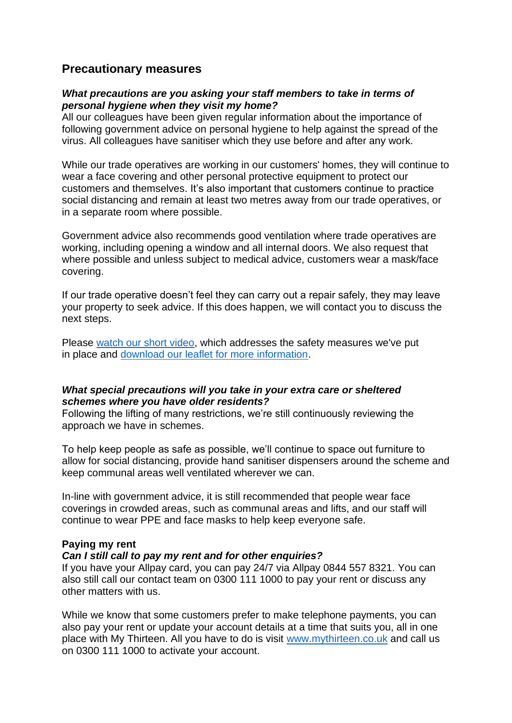# **Precautionary measures**

#### *What precautions are you asking your staff members to take in terms of personal hygiene when they visit my home?*

All our colleagues have been given regular information about the importance of following government advice on personal hygiene to help against the spread of the virus. All colleagues have sanitiser which they use before and after any work.

While our trade operatives are working in our customers' homes, they will continue to wear a face covering and other personal protective equipment to protect our customers and themselves. It's also important that customers continue to practice social distancing and remain at least two metres away from our trade operatives, or in a separate room where possible.

Government advice also recommends good ventilation where trade operatives are working, including opening a window and all internal doors. We also request that where possible and unless subject to medical advice, customers wear a mask/face covering.

If our trade operative doesn't feel they can carry out a repair safely, they may leave your property to seek advice. If this does happen, we will contact you to discuss the next steps.

Please [watch our short video,](https://eur01.safelinks.protection.outlook.com/?url=https%3A%2F%2Fyoutu.be%2FcRKw1GD3Ws4&data=04%7C01%7Cvicki.mussett%40thirteengroup.co.uk%7Cb22fb659ad7f4431056808d87f2bc2f7%7Cdc058fd0b64441418f85ba6e1f2087e7%7C1%7C0%7C637399173224540039%7CUnknown%7CTWFpbGZsb3d8eyJWIjoiMC4wLjAwMDAiLCJQIjoiV2luMzIiLCJBTiI6Ik1haWwiLCJXVCI6Mn0%3D%7C1000&sdata=UmDgkBD2QYAkRKZd6tsXQ3K0M%2BDiF%2BNGJ2eH24vwrUQ%3D&reserved=0) which addresses the safety measures we've put in place and [download our leaflet for more information.](https://www.thirteengroup.co.uk/uploaded/thirteen/files/Keeping%20customers%20and%20colleagues%20safe%20leaflet.pdf)

# *What special precautions will you take in your extra care or sheltered schemes where you have older residents?*

Following the lifting of many restrictions, we're still continuously reviewing the approach we have in schemes.

To help keep people as safe as possible, we'll continue to space out furniture to allow for social distancing, provide hand sanitiser dispensers around the scheme and keep communal areas well ventilated wherever we can.

In-line with government advice, it is still recommended that people wear face coverings in crowded areas, such as communal areas and lifts, and our staff will continue to wear PPE and face masks to help keep everyone safe.

### **Paying my rent**

#### *Can I still call to pay my rent and for other enquiries?*

If you have your Allpay card, you can pay 24/7 via Allpay 0844 557 8321. You can also still call our contact team on 0300 111 1000 to pay your rent or discuss any other matters with us.

While we know that some customers prefer to make telephone payments, you can also pay your rent or update your account details at a time that suits you, all in one place with My Thirteen. All you have to do is visit [www.mythirteen.co.uk](http://www.mythirteen.co.uk/) and call us on 0300 111 1000 to activate your account.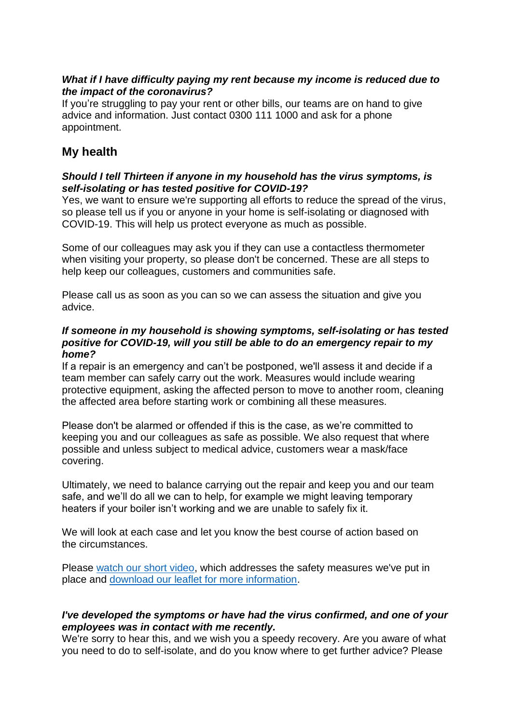## *What if I have difficulty paying my rent because my income is reduced due to the impact of the coronavirus?*

If you're struggling to pay your rent or other bills, our teams are on hand to give advice and information. Just contact 0300 111 1000 and ask for a phone appointment.

# **My health**

## *Should I tell Thirteen if anyone in my household has the virus symptoms, is self-isolating or has tested positive for COVID-19?*

Yes, we want to ensure we're supporting all efforts to reduce the spread of the virus, so please tell us if you or anyone in your home is self-isolating or diagnosed with COVID-19. This will help us protect everyone as much as possible.

Some of our colleagues may ask you if they can use a contactless thermometer when visiting your property, so please don't be concerned. These are all steps to help keep our colleagues, customers and communities safe.

Please call us as soon as you can so we can assess the situation and give you advice.

#### *If someone in my household is showing symptoms, self-isolating or has tested positive for COVID-19, will you still be able to do an emergency repair to my home?*

If a repair is an emergency and can't be postponed, we'll assess it and decide if a team member can safely carry out the work. Measures would include wearing protective equipment, asking the affected person to move to another room, cleaning the affected area before starting work or combining all these measures.

Please don't be alarmed or offended if this is the case, as we're committed to keeping you and our colleagues as safe as possible. We also request that where possible and unless subject to medical advice, customers wear a mask/face covering.

Ultimately, we need to balance carrying out the repair and keep you and our team safe, and we'll do all we can to help, for example we might leaving temporary heaters if your boiler isn't working and we are unable to safely fix it.

We will look at each case and let you know the best course of action based on the circumstances.

Please [watch our short video,](https://eur01.safelinks.protection.outlook.com/?url=https%3A%2F%2Fyoutu.be%2FcRKw1GD3Ws4&data=04%7C01%7Cvicki.mussett%40thirteengroup.co.uk%7Cb22fb659ad7f4431056808d87f2bc2f7%7Cdc058fd0b64441418f85ba6e1f2087e7%7C1%7C0%7C637399173224549991%7CUnknown%7CTWFpbGZsb3d8eyJWIjoiMC4wLjAwMDAiLCJQIjoiV2luMzIiLCJBTiI6Ik1haWwiLCJXVCI6Mn0%3D%7C1000&sdata=fBd2jE2PXa2rkCfpuoRsELc%2Fc2Mo8uG4x6AGmZjF%2Bdk%3D&reserved=0) which addresses the safety measures we've put in place and [download our leaflet for more information.](https://www.thirteengroup.co.uk/uploaded/thirteen/files/Keeping%20customers%20and%20colleagues%20safe%20leaflet.pdf)

### *I've developed the symptoms or have had the virus confirmed, and one of your employees was in contact with me recently.*

We're sorry to hear this, and we wish you a speedy recovery. Are you aware of what you need to do to self-isolate, and do you know where to get further advice? Please